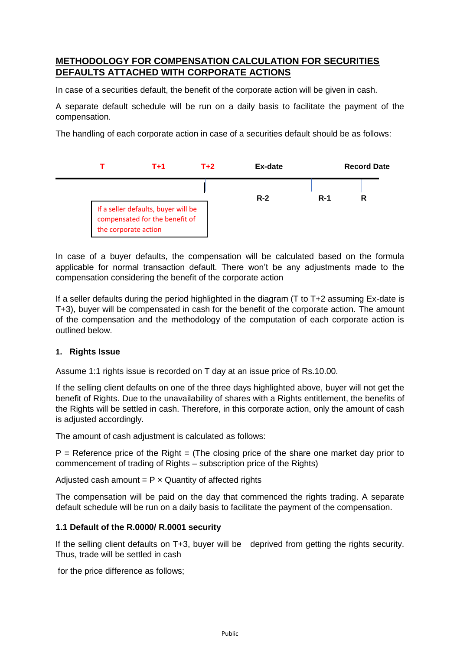# **METHODOLOGY FOR COMPENSATION CALCULATION FOR SECURITIES DEFAULTS ATTACHED WITH CORPORATE ACTIONS**

In case of a securities default, the benefit of the corporate action will be given in cash.

A separate default schedule will be run on a daily basis to facilitate the payment of the compensation.

The handling of each corporate action in case of a securities default should be as follows:



In case of a buyer defaults, the compensation will be calculated based on the formula applicable for normal transaction default. There won't be any adjustments made to the compensation considering the benefit of the corporate action

If a seller defaults during the period highlighted in the diagram (T to T+2 assuming Ex-date is T+3), buyer will be compensated in cash for the benefit of the corporate action. The amount of the compensation and the methodology of the computation of each corporate action is outlined below.

## **1. Rights Issue**

Assume 1:1 rights issue is recorded on T day at an issue price of Rs.10.00.

If the selling client defaults on one of the three days highlighted above, buyer will not get the benefit of Rights. Due to the unavailability of shares with a Rights entitlement, the benefits of the Rights will be settled in cash. Therefore, in this corporate action, only the amount of cash is adjusted accordingly.

The amount of cash adjustment is calculated as follows:

 $P =$  Reference price of the Right = (The closing price of the share one market day prior to commencement of trading of Rights – subscription price of the Rights)

Adjusted cash amount  $= P \times$  Quantity of affected rights

The compensation will be paid on the day that commenced the rights trading. A separate default schedule will be run on a daily basis to facilitate the payment of the compensation.

## **1.1 Default of the R.0000/ R.0001 security**

If the selling client defaults on T+3, buyer will be deprived from getting the rights security. Thus, trade will be settled in cash

for the price difference as follows;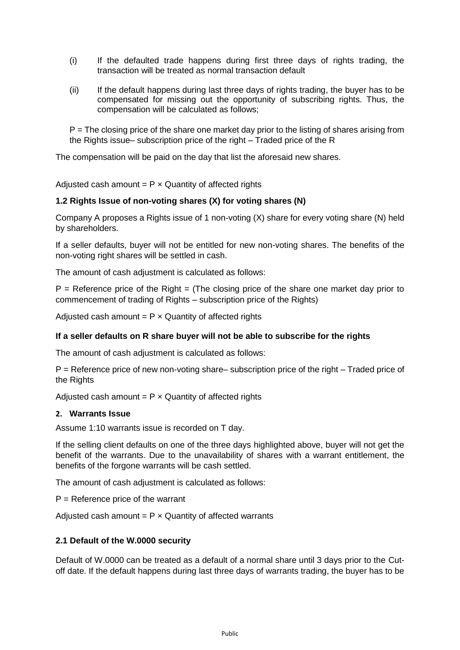- (i) If the defaulted trade happens during first three days of rights trading, the transaction will be treated as normal transaction default
- (ii) If the default happens during last three days of rights trading, the buyer has to be compensated for missing out the opportunity of subscribing rights. Thus, the compensation will be calculated as follows;

P = The closing price of the share one market day prior to the listing of shares arising from the Rights issue– subscription price of the right – Traded price of the R

The compensation will be paid on the day that list the aforesaid new shares.

Adjusted cash amount  $= P \times$  Quantity of affected rights

# **1.2 Rights Issue of non-voting shares (X) for voting shares (N)**

Company A proposes a Rights issue of 1 non-voting (X) share for every voting share (N) held by shareholders.

If a seller defaults, buyer will not be entitled for new non-voting shares. The benefits of the non-voting right shares will be settled in cash.

The amount of cash adjustment is calculated as follows:

 $P =$  Reference price of the Right  $=$  (The closing price of the share one market day prior to commencement of trading of Rights – subscription price of the Rights)

Adjusted cash amount  $= P \times$  Quantity of affected rights

## **If a seller defaults on R share buyer will not be able to subscribe for the rights**

The amount of cash adjustment is calculated as follows:

P = Reference price of new non-voting share– subscription price of the right – Traded price of the Rights

Adjusted cash amount  $= P \times$  Quantity of affected rights

#### **2. Warrants Issue**

Assume 1:10 warrants issue is recorded on T day.

If the selling client defaults on one of the three days highlighted above, buyer will not get the benefit of the warrants. Due to the unavailability of shares with a warrant entitlement, the benefits of the forgone warrants will be cash settled.

The amount of cash adjustment is calculated as follows:

 $P =$  Reference price of the warrant

Adjusted cash amount  $= P \times$  Quantity of affected warrants

## **2.1 Default of the W.0000 security**

Default of W.0000 can be treated as a default of a normal share until 3 days prior to the Cutoff date. If the default happens during last three days of warrants trading, the buyer has to be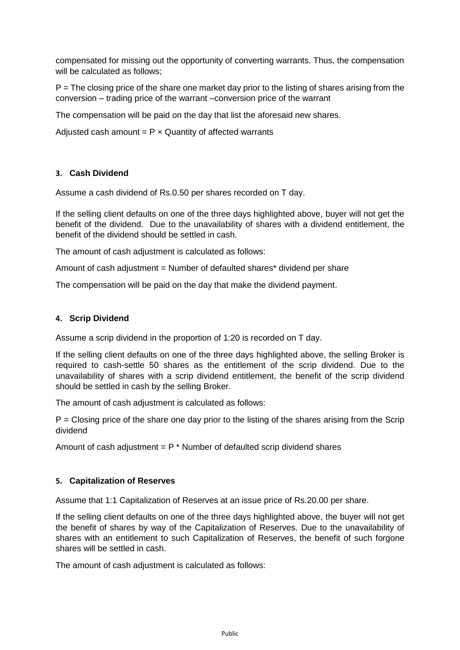compensated for missing out the opportunity of converting warrants. Thus, the compensation will be calculated as follows;

 $P =$ The closing price of the share one market day prior to the listing of shares arising from the conversion – trading price of the warrant –conversion price of the warrant

The compensation will be paid on the day that list the aforesaid new shares.

Adjusted cash amount  $= P \times$  Quantity of affected warrants

## **3. Cash Dividend**

Assume a cash dividend of Rs.0.50 per shares recorded on T day.

If the selling client defaults on one of the three days highlighted above, buyer will not get the benefit of the dividend. Due to the unavailability of shares with a dividend entitlement, the benefit of the dividend should be settled in cash.

The amount of cash adjustment is calculated as follows:

Amount of cash adjustment = Number of defaulted shares\* dividend per share

The compensation will be paid on the day that make the dividend payment.

#### **4. Scrip Dividend**

Assume a scrip dividend in the proportion of 1:20 is recorded on T day.

If the selling client defaults on one of the three days highlighted above, the selling Broker is required to cash-settle 50 shares as the entitlement of the scrip dividend. Due to the unavailability of shares with a scrip dividend entitlement, the benefit of the scrip dividend should be settled in cash by the selling Broker.

The amount of cash adjustment is calculated as follows:

 $P = C$ losing price of the share one day prior to the listing of the shares arising from the Scrip dividend

Amount of cash adjustment =  $P *$  Number of defaulted scrip dividend shares

## **5. Capitalization of Reserves**

Assume that 1:1 Capitalization of Reserves at an issue price of Rs.20.00 per share.

If the selling client defaults on one of the three days highlighted above, the buyer will not get the benefit of shares by way of the Capitalization of Reserves. Due to the unavailability of shares with an entitlement to such Capitalization of Reserves, the benefit of such forgone shares will be settled in cash.

The amount of cash adjustment is calculated as follows: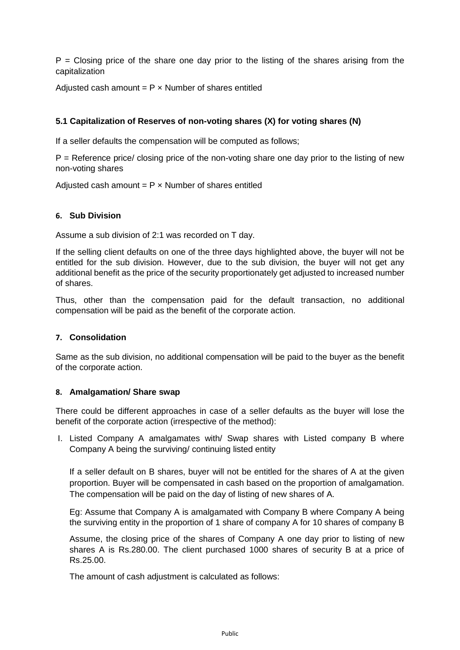$P = Closing price$  of the share one day prior to the listing of the shares arising from the capitalization

Adjusted cash amount  $= P \times$  Number of shares entitled

# **5.1 Capitalization of Reserves of non-voting shares (X) for voting shares (N)**

If a seller defaults the compensation will be computed as follows;

 $P =$  Reference price/ closing price of the non-voting share one day prior to the listing of new non-voting shares

Adjusted cash amount  $= P \times$  Number of shares entitled

#### **6. Sub Division**

Assume a sub division of 2:1 was recorded on T day.

If the selling client defaults on one of the three days highlighted above, the buyer will not be entitled for the sub division. However, due to the sub division, the buyer will not get any additional benefit as the price of the security proportionately get adjusted to increased number of shares.

Thus, other than the compensation paid for the default transaction, no additional compensation will be paid as the benefit of the corporate action.

# **7. Consolidation**

Same as the sub division, no additional compensation will be paid to the buyer as the benefit of the corporate action.

#### **8. Amalgamation/ Share swap**

There could be different approaches in case of a seller defaults as the buyer will lose the benefit of the corporate action (irrespective of the method):

I. Listed Company A amalgamates with/ Swap shares with Listed company B where Company A being the surviving/ continuing listed entity

If a seller default on B shares, buyer will not be entitled for the shares of A at the given proportion. Buyer will be compensated in cash based on the proportion of amalgamation. The compensation will be paid on the day of listing of new shares of A.

Eg: Assume that Company A is amalgamated with Company B where Company A being the surviving entity in the proportion of 1 share of company A for 10 shares of company B

Assume, the closing price of the shares of Company A one day prior to listing of new shares A is Rs.280.00. The client purchased 1000 shares of security B at a price of Rs.25.00.

The amount of cash adjustment is calculated as follows: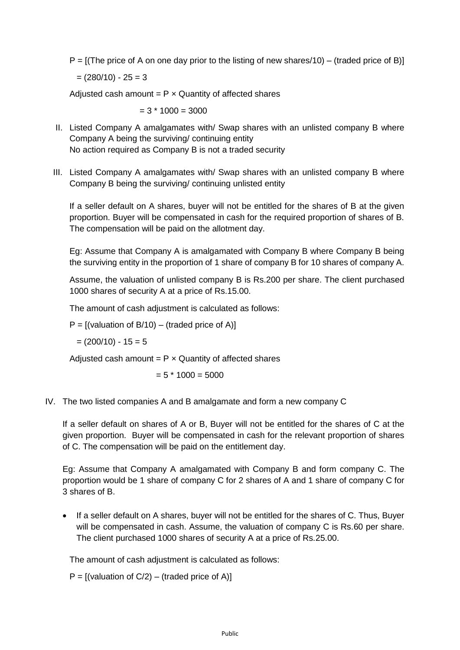$P = [(The price of A on one day prior to the listing of new shares/10) - (traded price of B)]$ 

 $= (280/10) - 25 = 3$ 

Adjusted cash amount =  $P \times$  Quantity of affected shares

 $= 3 * 1000 = 3000$ 

- II. Listed Company A amalgamates with/ Swap shares with an unlisted company B where Company A being the surviving/ continuing entity No action required as Company B is not a traded security
- III. Listed Company A amalgamates with/ Swap shares with an unlisted company B where Company B being the surviving/ continuing unlisted entity

If a seller default on A shares, buyer will not be entitled for the shares of B at the given proportion. Buyer will be compensated in cash for the required proportion of shares of B. The compensation will be paid on the allotment day.

Eg: Assume that Company A is amalgamated with Company B where Company B being the surviving entity in the proportion of 1 share of company B for 10 shares of company A.

Assume, the valuation of unlisted company B is Rs.200 per share. The client purchased 1000 shares of security A at a price of Rs.15.00.

The amount of cash adjustment is calculated as follows:

 $P = [(valuation of B/10) - (tradeed price of A)]$ 

 $=(200/10) - 15 = 5$ 

Adjusted cash amount =  $P \times$  Quantity of affected shares

 $= 5 * 1000 = 5000$ 

IV. The two listed companies A and B amalgamate and form a new company C

If a seller default on shares of A or B, Buyer will not be entitled for the shares of C at the given proportion. Buyer will be compensated in cash for the relevant proportion of shares of C. The compensation will be paid on the entitlement day.

Eg: Assume that Company A amalgamated with Company B and form company C. The proportion would be 1 share of company C for 2 shares of A and 1 share of company C for 3 shares of B.

• If a seller default on A shares, buyer will not be entitled for the shares of C. Thus, Buyer will be compensated in cash. Assume, the valuation of company C is Rs.60 per share. The client purchased 1000 shares of security A at a price of Rs.25.00.

The amount of cash adjustment is calculated as follows:

 $P = [(valuation of C/2) - (trade of C/2)]$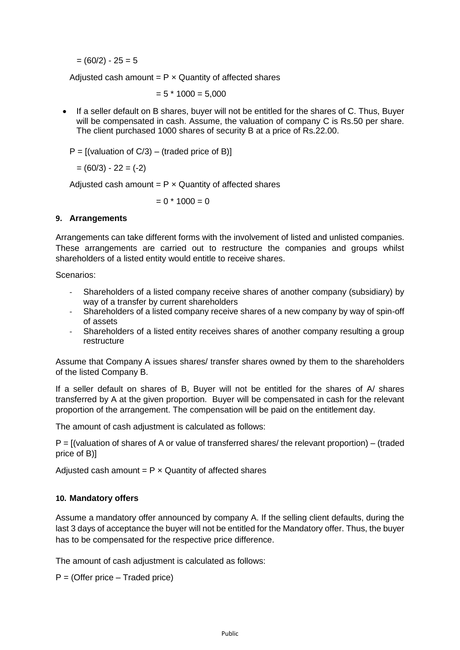$= (60/2) - 25 = 5$ 

Adjusted cash amount  $= P \times$  Quantity of affected shares

 $= 5 * 1000 = 5,000$ 

• If a seller default on B shares, buyer will not be entitled for the shares of C. Thus, Buyer will be compensated in cash. Assume, the valuation of company C is Rs.50 per share. The client purchased 1000 shares of security B at a price of Rs.22.00.

 $P = [(valuation of C/3) - (traded price of B)]$ 

 $= (60/3) - 22 = (-2)$ 

Adjusted cash amount =  $P \times$  Quantity of affected shares

 $= 0 * 1000 = 0$ 

#### **9. Arrangements**

Arrangements can take different forms with the involvement of listed and unlisted companies. These arrangements are carried out to restructure the companies and groups whilst shareholders of a listed entity would entitle to receive shares.

Scenarios:

- Shareholders of a listed company receive shares of another company (subsidiary) by way of a transfer by current shareholders
- Shareholders of a listed company receive shares of a new company by way of spin-off of assets
- Shareholders of a listed entity receives shares of another company resulting a group restructure

Assume that Company A issues shares/ transfer shares owned by them to the shareholders of the listed Company B.

If a seller default on shares of B, Buyer will not be entitled for the shares of A/ shares transferred by A at the given proportion. Buyer will be compensated in cash for the relevant proportion of the arrangement. The compensation will be paid on the entitlement day.

The amount of cash adjustment is calculated as follows:

P = [(valuation of shares of A or value of transferred shares/ the relevant proportion) – (traded price of B)]

Adjusted cash amount  $= P \times$  Quantity of affected shares

## **10. Mandatory offers**

Assume a mandatory offer announced by company A. If the selling client defaults, during the last 3 days of acceptance the buyer will not be entitled for the Mandatory offer. Thus, the buyer has to be compensated for the respective price difference.

The amount of cash adjustment is calculated as follows:

 $P = (O$ ffer price – Traded price)